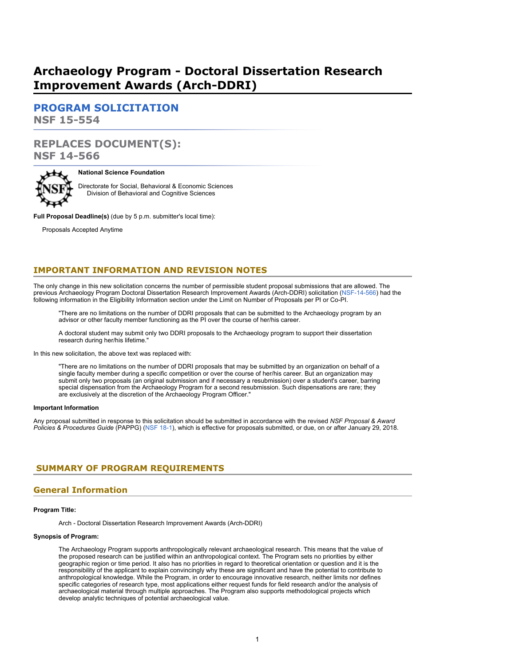# **Archaeology Program - Doctoral Dissertation Research Improvement Awards (Arch-DDRI)**

**[PROGRAM SOLICITATION](#page-2-0) NSF 15-554**

# **REPLACES DOCUMENT(S): NSF 14-566**



#### **National Science Foundation**

Directorate for Social, Behavioral & Economic Sciences Division of Behavioral and Cognitive Sciences

**Full Proposal Deadline(s)** (due by 5 p.m. submitter's local time):

Proposals Accepted Anytime

# **IMPORTANT INFORMATION AND REVISION NOTES**

The only change in this new solicitation concerns the number of permissible student proposal submissions that are allowed. The previous Archaeology Program Doctoral Dissertation Research Improvement Awards (Arch-DDRI) solicitation ([NSF-14-566\)](https://www.nsf.gov/publications/pub_summ.jsp?ods_key=nsf14566) had the following information in the Eligibility Information section under the Limit on Number of Proposals per PI or Co-PI.

"There are no limitations on the number of DDRI proposals that can be submitted to the Archaeology program by an advisor or other faculty member functioning as the PI over the course of her/his career.

A doctoral student may submit only two DDRI proposals to the Archaeology program to support their dissertation research during her/his lifetime."

In this new solicitation, the above text was replaced with:

"There are no limitations on the number of DDRI proposals that may be submitted by an organization on behalf of a single faculty member during a specific competition or over the course of her/his career. But an organization may submit only two proposals (an original submission and if necessary a resubmission) over a student's career, barring special dispensation from the Archaeology Program for a second resubmission. Such dispensations are rare; they are exclusively at the discretion of the Archaeology Program Officer."

#### **Important Information**

Any proposal submitted in response to this solicitation should be submitted in accordance with the revised *NSF Proposal & Award Policies & Procedures Guide* (PAPPG) ([NSF 18-1\)](https://www.nsf.gov/publications/pub_summ.jsp?ods_key=nsf18001), which is effective for proposals submitted, or due, on or after January 29, 2018.

# <span id="page-0-0"></span>**SUMMARY OF PROGRAM REQUIREMENTS**

# **General Information**

#### **Program Title:**

Arch - Doctoral Dissertation Research Improvement Awards (Arch-DDRI)

#### **Synopsis of Program:**

The Archaeology Program supports anthropologically relevant archaeological research. This means that the value of the proposed research can be justified within an anthropological context. The Program sets no priorities by either geographic region or time period. It also has no priorities in regard to theoretical orientation or question and it is the responsibility of the applicant to explain convincingly why these are significant and have the potential to contribute to anthropological knowledge. While the Program, in order to encourage innovative research, neither limits nor defines specific categories of research type, most applications either request funds for field research and/or the analysis of archaeological material through multiple approaches. The Program also supports methodological projects which develop analytic techniques of potential archaeological value.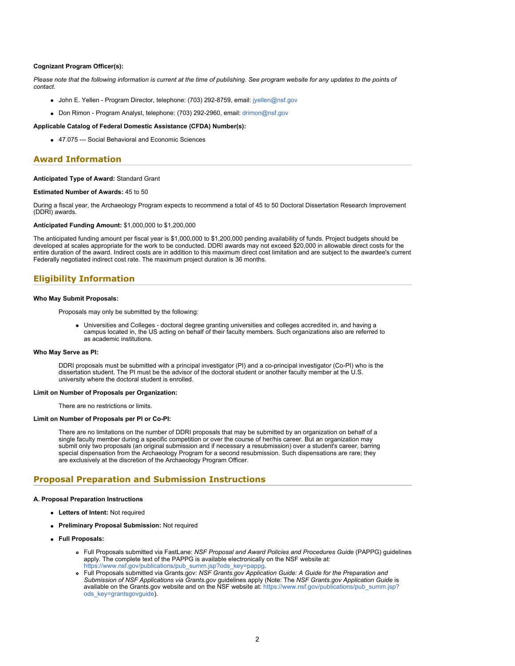#### **Cognizant Program Officer(s):**

*Please note that the following information is current at the time of publishing. See program website for any updates to the points of contact.*

- John E. Yellen Program Director, telephone: (703) 292-8759, email: [jyellen@nsf.gov](mailto:jyellen@nsf.gov)
- Don Rimon Program Analyst, telephone: (703) 292-2960, email: [drimon@nsf.gov](mailto:drimon@nsf.gov)

#### **Applicable Catalog of Federal Domestic Assistance (CFDA) Number(s):**

47.075 --- Social Behavioral and Economic Sciences

### **Award Information**

#### **Anticipated Type of Award:** Standard Grant

#### **Estimated Number of Awards:** 45 to 50

During a fiscal year, the Archaeology Program expects to recommend a total of 45 to 50 Doctoral Dissertation Research Improvement (DDRI) awards.

### **Anticipated Funding Amount:** \$1,000,000 to \$1,200,000

The anticipated funding amount per fiscal year is \$1,000,000 to \$1,200,000 pending availability of funds. Project budgets should be developed at scales appropriate for the work to be conducted. DDRI awards may not exceed \$20,000 in allowable direct costs for the entire duration of the award. Indirect costs are in addition to this maximum direct cost limitation and are subject to the awardee's current Federally negotiated indirect cost rate. The maximum project duration is 36 months.

### **Eligibility Information**

#### **Who May Submit Proposals:**

Proposals may only be submitted by the following:

Universities and Colleges - doctoral degree granting universities and colleges accredited in, and having a campus located in, the US acting on behalf of their faculty members. Such organizations also are referred to as academic institutions.

#### **Who May Serve as PI:**

DDRI proposals must be submitted with a principal investigator (PI) and a co-principal investigator (Co-PI) who is the dissertation student. The PI must be the advisor of the doctoral student or another faculty member at the U.S. university where the doctoral student is enrolled.

#### **Limit on Number of Proposals per Organization:**

There are no restrictions or limits.

#### **Limit on Number of Proposals per PI or Co-PI:**

There are no limitations on the number of DDRI proposals that may be submitted by an organization on behalf of a single faculty member during a specific competition or over the course of her/his career. But an organization may submit only two proposals (an original submission and if necessary a resubmission) over a student's career, barring special dispensation from the Archaeology Program for a second resubmission. Such dispensations are rare; they are exclusively at the discretion of the Archaeology Program Officer.

### **Proposal Preparation and Submission Instructions**

#### **A. Proposal Preparation Instructions**

- **Letters of Intent:** Not required
- **Preliminary Proposal Submission:** Not required
- **Full Proposals:**
	- Full Proposals submitted via FastLane: *NSF Proposal and Award Policies and Procedures Guide* (PAPPG) guidelines apply. The complete text of the PAPPG is available electronically on the NSF website at: https://www.nsf.gov/publications/pub\_summ.jsp?ods\_key=pappg
	- Full Proposals submitted via Grants.gov: *NSF Grants.gov Application Guide: A Guide for the Preparation and Submission of NSF Applications via Grants.gov* guidelines apply (Note: The *NSF Grants.gov Application Guide* is available on the Grants.gov website and on the NSF website at: [https://www.nsf.gov/publications/pub\\_summ.jsp?](https://www.nsf.gov/publications/pub_summ.jsp?ods_key=grantsgovguide) [ods\\_key=grantsgovguide](https://www.nsf.gov/publications/pub_summ.jsp?ods_key=grantsgovguide)).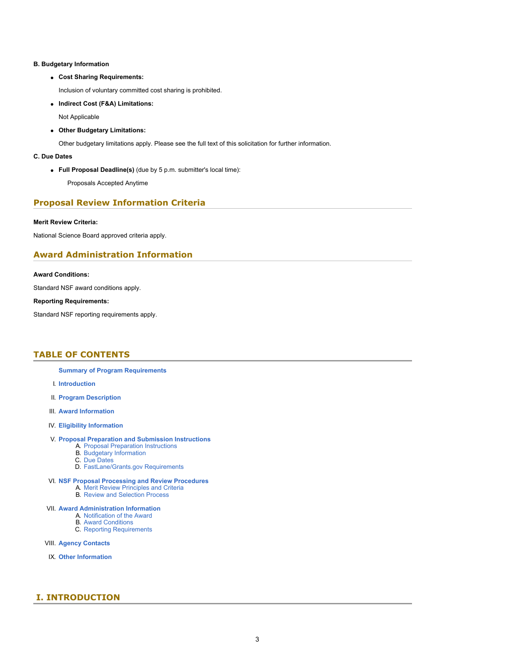### **B. Budgetary Information**

**Cost Sharing Requirements:**

Inclusion of voluntary committed cost sharing is prohibited.

**Indirect Cost (F&A) Limitations:**

Not Applicable

**Other Budgetary Limitations:**

Other budgetary limitations apply. Please see the full text of this solicitation for further information.

### **C. Due Dates**

**Full Proposal Deadline(s)** (due by 5 p.m. submitter's local time):

Proposals Accepted Anytime

# **Proposal Review Information Criteria**

### **Merit Review Criteria:**

National Science Board approved criteria apply.

# **Award Administration Information**

### **Award Conditions:**

Standard NSF award conditions apply.

### **Reporting Requirements:**

Standard NSF reporting requirements apply.

# <span id="page-2-0"></span>**TABLE OF CONTENTS**

- **[Summary of Program Requirements](#page-0-0)**
- I. **[Introduction](#page-2-1)**
- II. **[Program Description](#page-3-0)**
- III. **[Award Information](#page-3-1)**
- IV. **[Eligibility Information](#page-4-0)**

#### V. **[Proposal Preparation and Submission Instructions](#page-4-1)**

- A. [Proposal Preparation Instructions](#page-4-1)
- B. [Budgetary Information](#page-6-0)
- C. [Due Dates](#page-7-0)
- D. [FastLane/Grants.gov Requirements](#page-7-1)
- VI. **[NSF Proposal Processing and Review Procedures](#page-7-2)**
	- A. [Merit Review Principles and Criteria](#page-7-3)
	- B. [Review and Selection Process](#page-9-0)

### VII. **[Award Administration Information](#page-9-1)**

- A. [Notification of the Award](#page-9-2)
- **B.** [Award Conditions](#page-9-3)
- C. [Reporting Requirements](#page-9-4)
- VIII. **[Agency Contacts](#page-10-0)**
- IX. **[Other Information](#page-10-1)**

# <span id="page-2-1"></span>**I. INTRODUCTION**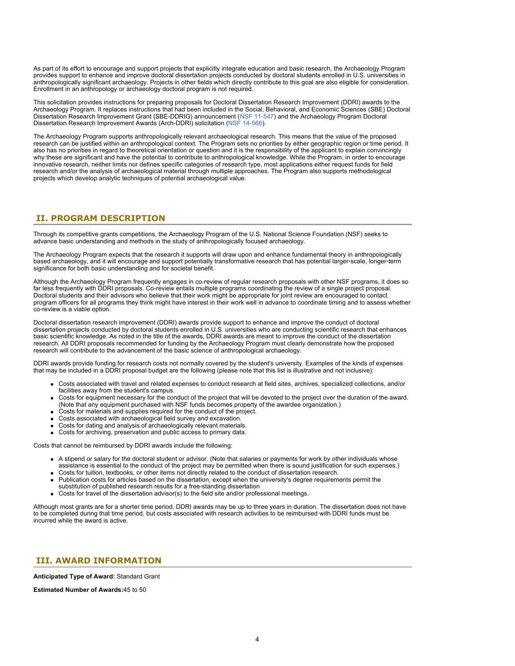As part of its effort to encourage and support projects that explicitly integrate education and basic research, the Archaeology Program provides support to enhance and improve doctoral dissertation projects conducted by doctoral students enrolled in U.S. universities in anthropologically significant archaeology. Projects in other fields which directly contribute to this goal are also eligible for consideration. Enrollment in an anthropology or archaeology doctoral program is not required.

This solicitation provides instructions for preparing proposals for Doctoral Dissertation Research Improvement (DDRI) awards to the Archaeology Program. It replaces instructions that had been included in the Social, Behavioral, and Economic Sciences (SBE) Doctoral Dissertation Research Improvement Grant (SBE-DDRIG) announcement [\(NSF 11-547](https://www.nsf.gov/publications/pub_summ.jsp?ods_key=nsf11547)) and the Archaeology Program Doctoral Dissertation Research Improvement Awards (Arch-DDRI) solicitation [\(NSF 14-566](https://www.nsf.gov/publications/pub_summ.jsp?ods_key=nsf14566)).

The Archaeology Program supports anthropologically relevant archaeological research. This means that the value of the proposed research can be justified within an anthropological context. The Program sets no priorities by either geographic region or time period. It also has no priorities in regard to theoretical orientation or question and it is the responsibility of the applicant to explain convincingly why these are significant and have the potential to contribute to anthropological knowledge. While the Program, in order to encourage innovative research, neither limits nor defines specific categories of research type, most applications either request funds for field research and/or the analysis of archaeological material through multiple approaches. The Program also supports methodological projects which develop analytic techniques of potential archaeological value.

# <span id="page-3-0"></span>**II. PROGRAM DESCRIPTION**

Through its competitive grants competitions, the Archaeology Program of the U.S. National Science Foundation (NSF) seeks to advance basic understanding and methods in the study of anthropologically focused archaeology.

The Archaeology Program expects that the research it supports will draw upon and enhance fundamental theory in anthropologically based archaeology, and it will encourage and support potentially transformative research that has potential larger-scale, longer-term significance for both basic understanding and for societal benefit.

Although the Archaeology Program frequently engages in co-review of regular research proposals with other NSF programs, it does so far less frequently with DDRI proposals. Co-review entails multiple programs coordinating the review of a single project proposal. Doctoral students and their advisors who believe that their work might be appropriate for joint review are encouraged to contact program officers for all programs they think might have interest in their work well in advance to coordinate timing and to assess whether co-review is a viable option.

Doctoral dissertation research improvement (DDRI) awards provide support to enhance and improve the conduct of doctoral dissertation projects conducted by doctoral students enrolled in U.S. universities who are conducting scientific research that enhances basic scientific knowledge. As noted in the title of the awards, DDRI awards are meant to improve the conduct of the dissertation research. All DDRI proposals recommended for funding by the Archaeology Program must clearly demonstrate how the proposed research will contribute to the advancement of the basic science of anthropological archaeology.

DDRI awards provide funding for research costs not normally covered by the student's university. Examples of the kinds of expenses that may be included in a DDRI proposal budget are the following (please note that this list is illustrative and not inclusive):

- Costs associated with travel and related expenses to conduct research at field sites, archives, specialized collections, and/or facilities away from the student's campus.
- Costs for equipment necessary for the conduct of the project that will be devoted to the project over the duration of the award. (Note that any equipment purchased with NSF funds becomes property of the awardee organization.)
- Costs for materials and supplies required for the conduct of the project.
- Costs associated with archaeological field survey and excavation.
- Costs for dating and analysis of archaeologically relevant materials.
- Costs for archiving, preservation and public access to primary data.

Costs that cannot be reimbursed by DDRI awards include the following:

- A stipend or salary for the doctoral student or advisor. (Note that salaries or payments for work by other individuals whose assistance is essential to the conduct of the project may be permitted when there is sound justification for such expenses.)
- Costs for tuition, textbooks, or other items not directly related to the conduct of dissertation research.
- Publication costs for articles based on the dissertation, except when the university's degree requirements permit the substitution of published research results for a free-standing dissertation
- 
- Costs for travel of the dissertation advisor(s) to the field site and/or professional meetings.

Although most grants are for a shorter time period, DDRI awards may be up to three years in duration. The dissertation does not have to be completed during that time period, but costs associated with research activities to be reimbursed with DDRI funds must be incurred while the award is active.

# <span id="page-3-1"></span> **III. AWARD INFORMATION**

**Anticipated Type of Award:** Standard Grant

**Estimated Number of Awards:**45 to 50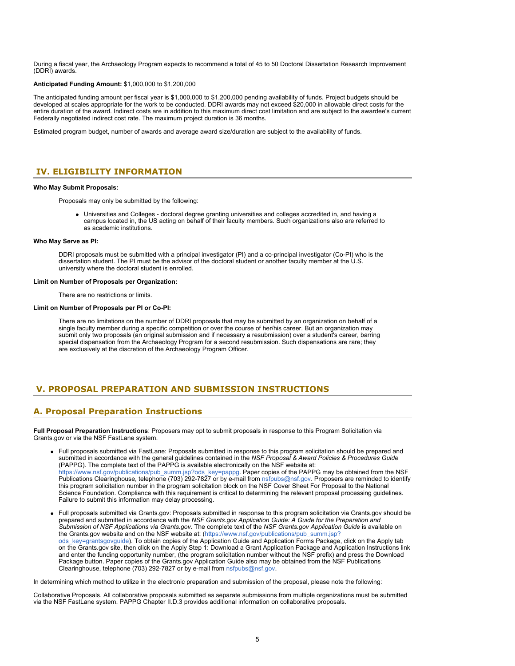During a fiscal year, the Archaeology Program expects to recommend a total of 45 to 50 Doctoral Dissertation Research Improvement (DDRI) awards.

#### **Anticipated Funding Amount:** \$1,000,000 to \$1,200,000

The anticipated funding amount per fiscal year is \$1,000,000 to \$1,200,000 pending availability of funds. Project budgets should be developed at scales appropriate for the work to be conducted. DDRI awards may not exceed \$20,000 in allowable direct costs for the entire duration of the award. Indirect costs are in addition to this maximum direct cost limitation and are subject to the awardee's current Federally negotiated indirect cost rate. The maximum project duration is 36 months.

Estimated program budget, number of awards and average award size/duration are subject to the availability of funds.

# <span id="page-4-0"></span>**IV. ELIGIBILITY INFORMATION**

#### **Who May Submit Proposals:**

Proposals may only be submitted by the following:

Universities and Colleges - doctoral degree granting universities and colleges accredited in, and having a campus located in, the US acting on behalf of their faculty members. Such organizations also are referred to as academic institutions.

#### **Who May Serve as PI:**

DDRI proposals must be submitted with a principal investigator (PI) and a co-principal investigator (Co-PI) who is the dissertation student. The PI must be the advisor of the doctoral student or another faculty member at the U.S. university where the doctoral student is enrolled.

#### **Limit on Number of Proposals per Organization:**

There are no restrictions or limits.

#### **Limit on Number of Proposals per PI or Co-PI:**

There are no limitations on the number of DDRI proposals that may be submitted by an organization on behalf of a single faculty member during a specific competition or over the course of her/his career. But an organization may submit only two proposals (an original submission and if necessary a resubmission) over a student's career, barring special dispensation from the Archaeology Program for a second resubmission. Such dispensations are rare; they are exclusively at the discretion of the Archaeology Program Officer.

# <span id="page-4-1"></span>**V. PROPOSAL PREPARATION AND SUBMISSION INSTRUCTIONS**

# **A. Proposal Preparation Instructions**

**Full Proposal Preparation Instructions**: Proposers may opt to submit proposals in response to this Program Solicitation via Grants.gov or via the NSF FastLane system.

- Full proposals submitted via FastLane: Proposals submitted in response to this program solicitation should be prepared and submitted in accordance with the general guidelines contained in the *NSF Proposal & Award Policies & Procedures Guide* (PAPPG). The complete text of the PAPPG is available electronically on the NSF website at: [https://www.nsf.gov/publications/pub\\_summ.jsp?ods\\_key=pappg.](https://www.nsf.gov/publications/pub_summ.jsp?ods_key=pappg) Paper copies of the PAPPG may be obtained from the NSF Publications Clearinghouse, telephone (703) 292-7827 or by e-mail from [nsfpubs@nsf.gov](mailto:nsfpubs@nsf.gov). Proposers are reminded to identify this program solicitation number in the program solicitation block on the NSF Cover Sheet For Proposal to the National Science Foundation. Compliance with this requirement is critical to determining the relevant proposal processing guidelines. Failure to submit this information may delay processing.
- Full proposals submitted via Grants.gov: Proposals submitted in response to this program solicitation via Grants.gov should be prepared and submitted in accordance with the *NSF Grants.gov Application Guide: A Guide for the Preparation and Submission of NSF Applications via Grants.gov*. The complete text of the *NSF Grants.gov Application Guide* is available on the Grants.gov website and on the NSF website at: [\(https://www.nsf.gov/publications/pub\\_summ.jsp?](https://www.nsf.gov/publications/pub_summ.jsp?ods_key=grantsgovguide) [ods\\_key=grantsgovguide](https://www.nsf.gov/publications/pub_summ.jsp?ods_key=grantsgovguide)). To obtain copies of the Application Guide and Application Forms Package, click on the Apply tab on the Grants.gov site, then click on the Apply Step 1: Download a Grant Application Package and Application Instructions link and enter the funding opportunity number, (the program solicitation number without the NSF prefix) and press the Download Package button. Paper copies of the Grants.gov Application Guide also may be obtained from the NSF Publications Clearinghouse, telephone (703) 292-7827 or by e-mail from [nsfpubs@nsf.gov](mailto:nsfpubs@nsf.gov).

In determining which method to utilize in the electronic preparation and submission of the proposal, please note the following:

Collaborative Proposals. All collaborative proposals submitted as separate submissions from multiple organizations must be submitted via the NSF FastLane system. PAPPG Chapter II.D.3 provides additional information on collaborative proposals.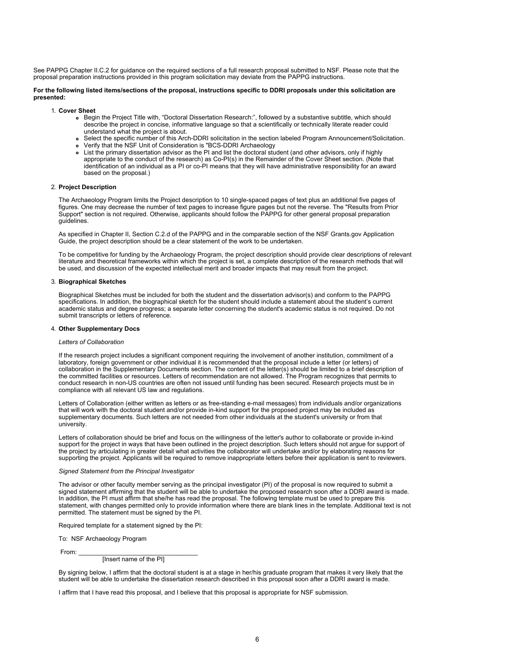See PAPPG Chapter II.C.2 for guidance on the required sections of a full research proposal submitted to NSF. Please note that the proposal preparation instructions provided in this program solicitation may deviate from the PAPPG instructions.

#### **For the following listed items/sections of the proposal, instructions specific to DDRI proposals under this solicitation are presented:**

1. **Cover Sheet**

- Begin the Project Title with, "Doctoral Dissertation Research:", followed by a substantive subtitle, which should describe the project in concise, informative language so that a scientifically or technically literate reader could understand what the project is about.
- Select the specific number of this Arch-DDRI solicitation in the section labeled Program Announcement/Solicitation.
- Verify that the NSF Unit of Consideration is "BCS-DDRI Archaeology
- List the primary dissertation advisor as the PI and list the doctoral student (and other advisors, only if highly appropriate to the conduct of the research) as Co-PI(s) in the Remainder of the Cover Sheet section. (Note that identification of an individual as a PI or co-PI means that they will have administrative responsibility for an award based on the proposal.)

#### 2. **Project Description**

The Archaeology Program limits the Project description to 10 single-spaced pages of text plus an additional five pages of figures. One may decrease the number of text pages to increase figure pages but not the reverse. The "Results from Prior Support" section is not required. Otherwise, applicants should follow the PAPPG for other general proposal preparation guidelines.

As specified in Chapter II, Section C.2.d of the PAPPG and in the comparable section of the NSF Grants.gov Application Guide, the project description should be a clear statement of the work to be undertaken.

To be competitive for funding by the Archaeology Program, the project description should provide clear descriptions of relevant literature and theoretical frameworks within which the project is set, a complete description of the research methods that will be used, and discussion of the expected intellectual merit and broader impacts that may result from the project.

#### 3. **Biographical Sketches**

Biographical Sketches must be included for both the student and the dissertation advisor(s) and conform to the PAPPG specifications. In addition, the biographical sketch for the student should include a statement about the student's current academic status and degree progress; a separate letter concerning the student's academic status is not required. Do not submit transcripts or letters of reference.

#### 4. **Other Supplementary Docs**

#### *Letters of Collaboration*

If the research project includes a significant component requiring the involvement of another institution, commitment of a laboratory, foreign government or other individual it is recommended that the proposal include a letter (or letters) of collaboration in the Supplementary Documents section. The content of the letter(s) should be limited to a brief description of the committed facilities or resources. Letters of recommendation are not allowed. The Program recognizes that permits to conduct research in non-US countries are often not issued until funding has been secured. Research projects must be in compliance with all relevant US law and regulations.

Letters of Collaboration (either written as letters or as free-standing e-mail messages) from individuals and/or organizations that will work with the doctoral student and/or provide in-kind support for the proposed project may be included as supplementary documents. Such letters are not needed from other individuals at the student's university or from that university.

Letters of collaboration should be brief and focus on the willingness of the letter's author to collaborate or provide in-kind support for the project in ways that have been outlined in the project description. Such letters should not argue for support of the project by articulating in greater detail what activities the collaborator will undertake and/or by elaborating reasons for supporting the project. Applicants will be required to remove inappropriate letters before their application is sent to reviewers.

### *Signed Statement from the Principal Investigator*

The advisor or other faculty member serving as the principal investigator (PI) of the proposal is now required to submit a signed statement affirming that the student will be able to undertake the proposed research soon after a DDRI award is made. In addition, the PI must affirm that she/he has read the proposal. The following template must be used to prepare this statement, with changes permitted only to provide information where there are blank lines in the template. Additional text is not permitted. The statement must be signed by the PI.

Required template for a statement signed by the PI:

To: NSF Archaeology Program

From: \_\_\_\_\_\_\_\_\_\_\_\_\_\_\_\_\_\_\_\_\_\_\_\_\_\_\_\_\_\_\_\_\_\_

[Insert name of the PI]

By signing below, I affirm that the doctoral student is at a stage in her/his graduate program that makes it very likely that the student will be able to undertake the dissertation research described in this proposal soon after a DDRI award is made.

I affirm that I have read this proposal, and I believe that this proposal is appropriate for NSF submission.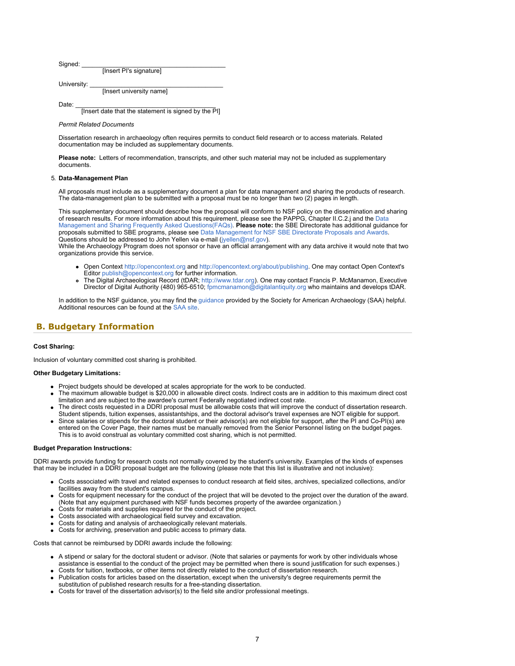| Signed: |                         |  |
|---------|-------------------------|--|
|         | [Insert PI's signature] |  |

University:

[Insert university name]

Date: \_\_\_\_\_\_\_\_\_\_\_\_\_\_\_\_\_\_\_\_\_\_\_\_\_\_\_\_\_\_\_\_\_\_\_\_\_\_\_\_

[Insert date that the statement is signed by the PI]

#### *Permit Related Documents*

Dissertation research in archaeology often requires permits to conduct field research or to access materials. Related documentation may be included as supplementary documents.

**Please note:** Letters of recommendation, transcripts, and other such material may not be included as supplementary documents.

#### 5. **Data-Management Plan**

All proposals must include as a supplementary document a plan for data management and sharing the products of research. The data-management plan to be submitted with a proposal must be no longer than two (2) pages in length.

This supplementary document should describe how the proposal will conform to NSF policy on the dissemination and sharing of research results. For more information about this requirement, please see the PAPPG, Chapter II.C.2.j and the [Data](https://www.nsf.gov/bfa/dias/policy/dmp.jsp) [Management and Sharing Frequently Asked Questions\(FAQs\)](https://www.nsf.gov/bfa/dias/policy/dmp.jsp). **Please note:** the SBE Directorate has additional guidance for proposals submitted to SBE programs, please see [Data Management for NSF SBE Directorate Proposals and Awards](https://www.nsf.gov/sbe/DMP/SBE_DataMgmtPlanPolicy_RevisedApril2018.pdf). Questions should be addressed to John Yellen via e-mail [\(jyellen@nsf.gov](mailto:jyellen@nsf.gov)).

While the Archaeology Program does not sponsor or have an official arrangement with any data archive it would note that two organizations provide this service.

- Open Context [http://opencontext.org](https://www.nsf.gov/cgi-bin/goodbye?http://opencontext.org/) and [http://opencontext.org/about/publishing](https://www.nsf.gov/cgi-bin/goodbye?http://opencontext.org/about/publishing). One may contact Open Context's Editor [publish@opencontext.org](mailto:publish@opencontext.org) for further information.
- The Digital Archaeological Record (tDAR; [http://www.tdar.org](https://www.nsf.gov/cgi-bin/goodbye?http://www.tdar.org/)). One may contact Francis P. McManamon, Executive Director of Digital Authority (480) 965-6510; [fpmcmanamon@digitalantiquity.org](mailto:fpmcmanamon@digitalantiquity.org) who maintains and develops tDAR.

In addition to the NSF guidance, you may find the [guidance](https://www.nsf.gov/sbe/bcs/arch/SAA_Data_Management_Plan_Guidance.pdf) provided by the Society for American Archaeology (SAA) helpful. Additional resources can be found at the [SAA site.](https://www.nsf.gov/cgi-bin/goodbye?http://www.saa.org/)

# <span id="page-6-0"></span>**B. Budgetary Information**

#### **Cost Sharing:**

Inclusion of voluntary committed cost sharing is prohibited.

#### **Other Budgetary Limitations:**

- Project budgets should be developed at scales appropriate for the work to be conducted.
- The maximum allowable budget is \$20,000 in allowable direct costs. Indirect costs are in addition to this maximum direct cost limitation and are subject to the awardee's current Federally negotiated indirect cost rate.
- The direct costs requested in a DDRI proposal must be allowable costs that will improve the conduct of dissertation research. Student stipends, tuition expenses, assistantships, and the doctoral advisor's travel expenses are NOT eligible for support.
- Since salaries or stipends for the doctoral student or their advisor(s) are not eligible for support, after the PI and Co-PI(s) are entered on the Cover Page, their names must be manually removed from the Senior Personnel listing on the budget pages. This is to avoid construal as voluntary committed cost sharing, which is not permitted.

#### **Budget Preparation Instructions:**

DDRI awards provide funding for research costs not normally covered by the student's university. Examples of the kinds of expenses that may be included in a DDRI proposal budget are the following (please note that this list is illustrative and not inclusive):

- Costs associated with travel and related expenses to conduct research at field sites, archives, specialized collections, and/or facilities away from the student's campus.
- Costs for equipment necessary for the conduct of the project that will be devoted to the project over the duration of the award. (Note that any equipment purchased with NSF funds becomes property of the awardee organization.)
- Costs for materials and supplies required for the conduct of the project.
- Costs associated with archaeological field survey and excavation.
- Costs for dating and analysis of archaeologically relevant materials.
- Costs for archiving, preservation and public access to primary data.

Costs that cannot be reimbursed by DDRI awards include the following:

- A stipend or salary for the doctoral student or advisor. (Note that salaries or payments for work by other individuals whose assistance is essential to the conduct of the project may be permitted when there is sound justification for such expenses.)
- Costs for tuition, textbooks, or other items not directly related to the conduct of dissertation research.
- Publication costs for articles based on the dissertation, except when the university's degree requirements permit the substitution of published research results for a free-standing dissertation.
- Costs for travel of the dissertation advisor(s) to the field site and/or professional meetings.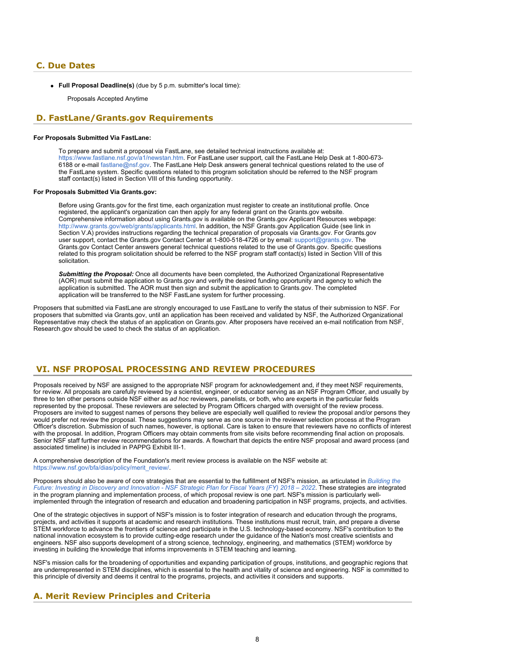### <span id="page-7-0"></span>**C. Due Dates**

**Full Proposal Deadline(s)** (due by 5 p.m. submitter's local time):

Proposals Accepted Anytime

### <span id="page-7-1"></span> **D. FastLane/Grants.gov Requirements**

### **For Proposals Submitted Via FastLane:**

To prepare and submit a proposal via FastLane, see detailed technical instructions available at: <https://www.fastlane.nsf.gov/a1/newstan.htm>. For FastLane user support, call the FastLane Help Desk at 1-800-673- 6188 or e-mail [fastlane@nsf.gov](mailto:fastlane@nsf.gov). The FastLane Help Desk answers general technical questions related to the use of the FastLane system. Specific questions related to this program solicitation should be referred to the NSF program staff contact(s) listed in Section VIII of this funding opportunity.

#### **For Proposals Submitted Via Grants.gov:**

Before using Grants.gov for the first time, each organization must register to create an institutional profile. Once registered, the applicant's organization can then apply for any federal grant on the Grants.gov website. Comprehensive information about using Grants.gov is available on the Grants.gov Applicant Resources webpage: [http://www.grants.gov/web/grants/applicants.html.](http://www.grants.gov/web/grants/applicants.html) In addition, the NSF Grants.gov Application Guide (see link in Section V.A) provides instructions regarding the technical preparation of proposals via Grants.gov. For Grants.gov user support, contact the Grants.gov Contact Center at 1-800-518-4726 or by email: [support@grants.gov.](mailto:support@grants.gov) The Grants.gov Contact Center answers general technical questions related to the use of Grants.gov. Specific questions related to this program solicitation should be referred to the NSF program staff contact(s) listed in Section VIII of this solicitation.

*Submitting the Proposal:* Once all documents have been completed, the Authorized Organizational Representative (AOR) must submit the application to Grants.gov and verify the desired funding opportunity and agency to which the application is submitted. The AOR must then sign and submit the application to Grants.gov. The completed application will be transferred to the NSF FastLane system for further processing.

Proposers that submitted via FastLane are strongly encouraged to use FastLane to verify the status of their submission to NSF. For proposers that submitted via Grants.gov, until an application has been received and validated by NSF, the Authorized Organizational Representative may check the status of an application on Grants.gov. After proposers have received an e-mail notification from NSF, Research.gov should be used to check the status of an application.

# <span id="page-7-2"></span>**VI. NSF PROPOSAL PROCESSING AND REVIEW PROCEDURES**

Proposals received by NSF are assigned to the appropriate NSF program for acknowledgement and, if they meet NSF requirements, for review. All proposals are carefully reviewed by a scientist, engineer, or educator serving as an NSF Program Officer, and usually by three to ten other persons outside NSF either as *ad hoc* reviewers, panelists, or both, who are experts in the particular fields represented by the proposal. These reviewers are selected by Program Officers charged with oversight of the review process. Proposers are invited to suggest names of persons they believe are especially well qualified to review the proposal and/or persons they would prefer not review the proposal. These suggestions may serve as one source in the reviewer selection process at the Program Officer's discretion. Submission of such names, however, is optional. Care is taken to ensure that reviewers have no conflicts of interest with the proposal. In addition, Program Officers may obtain comments from site visits before recommending final action on proposals. Senior NSF staff further review recommendations for awards. A flowchart that depicts the entire NSF proposal and award process (and associated timeline) is included in PAPPG Exhibit III-1.

A comprehensive description of the Foundation's merit review process is available on the NSF website at: [https://www.nsf.gov/bfa/dias/policy/merit\\_review/](https://www.nsf.gov/bfa/dias/policy/merit_review/).

Proposers should also be aware of core strategies that are essential to the fulfillment of NSF's mission, as articulated in *[Building the](https://www.nsf.gov/publications/pub_summ.jsp?ods_key=nsf18045&org=NSF) [Future: Investing in Discovery and Innovation - NSF Strategic Plan for Fiscal Years \(FY\) 2018 – 2022](https://www.nsf.gov/publications/pub_summ.jsp?ods_key=nsf18045&org=NSF)*. These strategies are integrated in the program planning and implementation process, of which proposal review is one part. NSF's mission is particularly wellimplemented through the integration of research and education and broadening participation in NSF programs, projects, and activities.

One of the strategic objectives in support of NSF's mission is to foster integration of research and education through the programs, projects, and activities it supports at academic and research institutions. These institutions must recruit, train, and prepare a diverse STEM workforce to advance the frontiers of science and participate in the U.S. technology-based economy. NSF's contribution to the national innovation ecosystem is to provide cutting-edge research under the guidance of the Nation's most creative scientists and engineers. NSF also supports development of a strong science, technology, engineering, and mathematics (STEM) workforce by investing in building the knowledge that informs improvements in STEM teaching and learning.

NSF's mission calls for the broadening of opportunities and expanding participation of groups, institutions, and geographic regions that are underrepresented in STEM disciplines, which is essential to the health and vitality of science and engineering. NSF is committed to this principle of diversity and deems it central to the programs, projects, and activities it considers and supports.

# <span id="page-7-3"></span>**A. Merit Review Principles and Criteria**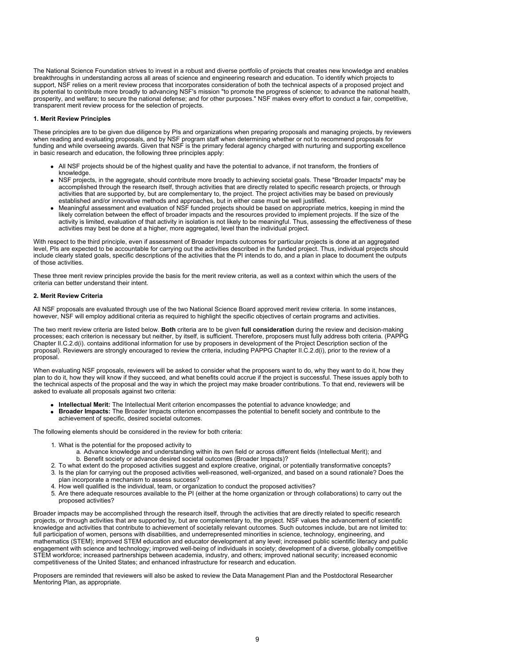The National Science Foundation strives to invest in a robust and diverse portfolio of projects that creates new knowledge and enables breakthroughs in understanding across all areas of science and engineering research and education. To identify which projects to support, NSF relies on a merit review process that incorporates consideration of both the technical aspects of a proposed project and its potential to contribute more broadly to advancing NSF's mission "to promote the progress of science; to advance the national health, prosperity, and welfare; to secure the national defense; and for other purposes." NSF makes every effort to conduct a fair, competitive, transparent merit review process for the selection of projects.

#### **1. Merit Review Principles**

These principles are to be given due diligence by PIs and organizations when preparing proposals and managing projects, by reviewers when reading and evaluating proposals, and by NSF program staff when determining whether or not to recommend proposals for funding and while overseeing awards. Given that NSF is the primary federal agency charged with nurturing and supporting excellence in basic research and education, the following three principles apply:

- All NSF projects should be of the highest quality and have the potential to advance, if not transform, the frontiers of knowledge.
- NSF projects, in the aggregate, should contribute more broadly to achieving societal goals. These "Broader Impacts" may be accomplished through the research itself, through activities that are directly related to specific research projects, or through activities that are supported by, but are complementary to, the project. The project activities may be based on previously established and/or innovative methods and approaches, but in either case must be well justified.
- Meaningful assessment and evaluation of NSF funded projects should be based on appropriate metrics, keeping in mind the likely correlation between the effect of broader impacts and the resources provided to implement projects. If the size of the activity is limited, evaluation of that activity in isolation is not likely to be meaningful. Thus, assessing the effectiveness of these activities may best be done at a higher, more aggregated, level than the individual project.

With respect to the third principle, even if assessment of Broader Impacts outcomes for particular projects is done at an aggregated level, PIs are expected to be accountable for carrying out the activities described in the funded project. Thus, individual projects should include clearly stated goals, specific descriptions of the activities that the PI intends to do, and a plan in place to document the outputs of those activities.

These three merit review principles provide the basis for the merit review criteria, as well as a context within which the users of the criteria can better understand their intent.

#### **2. Merit Review Criteria**

All NSF proposals are evaluated through use of the two National Science Board approved merit review criteria. In some instances, however, NSF will employ additional criteria as required to highlight the specific objectives of certain programs and activities.

The two merit review criteria are listed below. **Both** criteria are to be given **full consideration** during the review and decision-making processes; each criterion is necessary but neither, by itself, is sufficient. Therefore, proposers must fully address both criteria. (PAPPG Chapter II.C.2.d(i). contains additional information for use by proposers in development of the Project Description section of the proposal). Reviewers are strongly encouraged to review the criteria, including PAPPG Chapter II.C.2.d(i), prior to the review of a proposal.

When evaluating NSF proposals, reviewers will be asked to consider what the proposers want to do, why they want to do it, how they plan to do it, how they will know if they succeed, and what benefits could accrue if the project is successful. These issues apply both to the technical aspects of the proposal and the way in which the project may make broader contributions. To that end, reviewers will be asked to evaluate all proposals against two criteria:

- **Intellectual Merit:** The Intellectual Merit criterion encompasses the potential to advance knowledge; and
- **Broader Impacts:** The Broader Impacts criterion encompasses the potential to benefit society and contribute to the achievement of specific, desired societal outcomes.

The following elements should be considered in the review for both criteria:

- 1. What is the potential for the proposed activity to
	- a. Advance knowledge and understanding within its own field or across different fields (Intellectual Merit); and b. Benefit society or advance desired societal outcomes (Broader Impacts)?
- 2. To what extent do the proposed activities suggest and explore creative, original, or potentially transformative concepts?
- 3. Is the plan for carrying out the proposed activities well-reasoned, well-organized, and based on a sound rationale? Does the plan incorporate a mechanism to assess success?
- 4. How well qualified is the individual, team, or organization to conduct the proposed activities?
- 5. Are there adequate resources available to the PI (either at the home organization or through collaborations) to carry out the proposed activities?

Broader impacts may be accomplished through the research itself, through the activities that are directly related to specific research projects, or through activities that are supported by, but are complementary to, the project. NSF values the advancement of scientific knowledge and activities that contribute to achievement of societally relevant outcomes. Such outcomes include, but are not limited to: full participation of women, persons with disabilities, and underrepresented minorities in science, technology, engineering, and mathematics (STEM); improved STEM education and educator development at any level; increased public scientific literacy and public engagement with science and technology; improved well-being of individuals in society; development of a diverse, globally competitive STEM workforce; increased partnerships between academia, industry, and others; improved national security; increased economic competitiveness of the United States; and enhanced infrastructure for research and education.

Proposers are reminded that reviewers will also be asked to review the Data Management Plan and the Postdoctoral Researcher Mentoring Plan, as appropriate.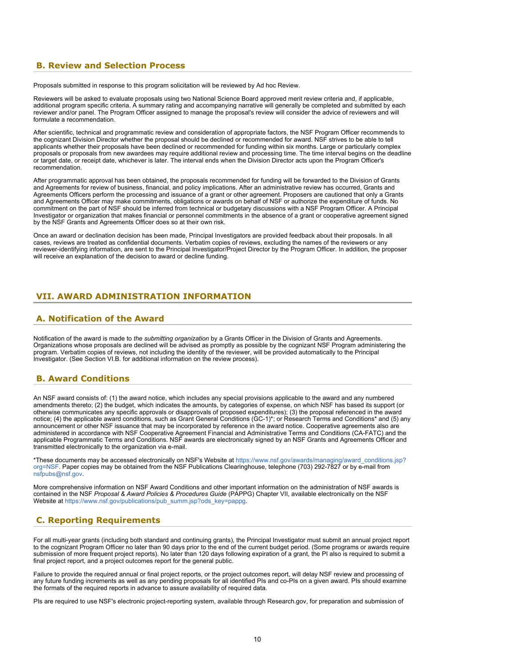# <span id="page-9-0"></span> **B. Review and Selection Process**

Proposals submitted in response to this program solicitation will be reviewed by Ad hoc Review.

Reviewers will be asked to evaluate proposals using two National Science Board approved merit review criteria and, if applicable, additional program specific criteria. A summary rating and accompanying narrative will generally be completed and submitted by each reviewer and/or panel. The Program Officer assigned to manage the proposal's review will consider the advice of reviewers and will formulate a recommendation.

After scientific, technical and programmatic review and consideration of appropriate factors, the NSF Program Officer recommends to the cognizant Division Director whether the proposal should be declined or recommended for award. NSF strives to be able to tell applicants whether their proposals have been declined or recommended for funding within six months. Large or particularly complex proposals or proposals from new awardees may require additional review and processing time. The time interval begins on the deadline or target date, or receipt date, whichever is later. The interval ends when the Division Director acts upon the Program Officer's recommendation.

After programmatic approval has been obtained, the proposals recommended for funding will be forwarded to the Division of Grants and Agreements for review of business, financial, and policy implications. After an administrative review has occurred, Grants and Agreements Officers perform the processing and issuance of a grant or other agreement. Proposers are cautioned that only a Grants and Agreements Officer may make commitments, obligations or awards on behalf of NSF or authorize the expenditure of funds. No commitment on the part of NSF should be inferred from technical or budgetary discussions with a NSF Program Officer. A Principal Investigator or organization that makes financial or personnel commitments in the absence of a grant or cooperative agreement signed by the NSF Grants and Agreements Officer does so at their own risk.

Once an award or declination decision has been made, Principal Investigators are provided feedback about their proposals. In all cases, reviews are treated as confidential documents. Verbatim copies of reviews, excluding the names of the reviewers or any reviewer-identifying information, are sent to the Principal Investigator/Project Director by the Program Officer. In addition, the proposer will receive an explanation of the decision to award or decline funding.

# <span id="page-9-1"></span>**VII. AWARD ADMINISTRATION INFORMATION**

# <span id="page-9-2"></span>**A. Notification of the Award**

Notification of the award is made to *the submitting organization* by a Grants Officer in the Division of Grants and Agreements. Organizations whose proposals are declined will be advised as promptly as possible by the cognizant NSF Program administering the program. Verbatim copies of reviews, not including the identity of the reviewer, will be provided automatically to the Principal Investigator. (See Section VI.B. for additional information on the review process).

### <span id="page-9-3"></span>**B. Award Conditions**

An NSF award consists of: (1) the award notice, which includes any special provisions applicable to the award and any numbered amendments thereto; (2) the budget, which indicates the amounts, by categories of expense, on which NSF has based its support (or otherwise communicates any specific approvals or disapprovals of proposed expenditures); (3) the proposal referenced in the award notice; (4) the applicable award conditions, such as Grant General Conditions (GC-1)\*; or Research Terms and Conditions\* and (5) any announcement or other NSF issuance that may be incorporated by reference in the award notice. Cooperative agreements also are administered in accordance with NSF Cooperative Agreement Financial and Administrative Terms and Conditions (CA-FATC) and the applicable Programmatic Terms and Conditions. NSF awards are electronically signed by an NSF Grants and Agreements Officer and transmitted electronically to the organization via e-mail.

\*These documents may be accessed electronically on NSF's Website at [https://www.nsf.gov/awards/managing/award\\_conditions.jsp?](https://www.nsf.gov/awards/managing/award_conditions.jsp?org=NSF) [org=NSF.](https://www.nsf.gov/awards/managing/award_conditions.jsp?org=NSF) Paper copies may be obtained from the NSF Publications Clearinghouse, telephone (703) 292-7827 or by e-mail from [nsfpubs@nsf.gov.](mailto:nsfpubs@nsf.gov)

More comprehensive information on NSF Award Conditions and other important information on the administration of NSF awards is contained in the NSF *Proposal & Award Policies & Procedures Guide* (PAPPG) Chapter VII, available electronically on the NSF Website at [https://www.nsf.gov/publications/pub\\_summ.jsp?ods\\_key=pappg](https://www.nsf.gov/publications/pub_summ.jsp?ods_key=pappg).

# <span id="page-9-4"></span> **C. Reporting Requirements**

For all multi-year grants (including both standard and continuing grants), the Principal Investigator must submit an annual project report to the cognizant Program Officer no later than 90 days prior to the end of the current budget period. (Some programs or awards require submission of more frequent project reports). No later than 120 days following expiration of a grant, the PI also is required to submit a final project report, and a project outcomes report for the general public.

Failure to provide the required annual or final project reports, or the project outcomes report, will delay NSF review and processing of any future funding increments as well as any pending proposals for all identified PIs and co-PIs on a given award. PIs should examine the formats of the required reports in advance to assure availability of required data.

PIs are required to use NSF's electronic project-reporting system, available through Research.gov, for preparation and submission of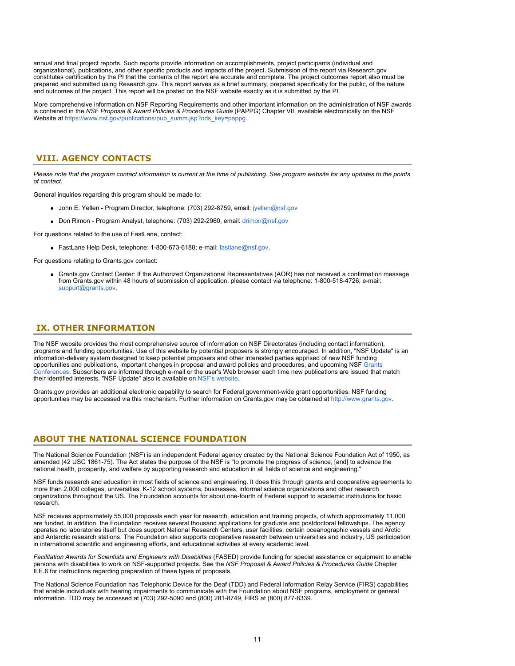annual and final project reports. Such reports provide information on accomplishments, project participants (individual and organizational), publications, and other specific products and impacts of the project. Submission of the report via Research.gov constitutes certification by the PI that the contents of the report are accurate and complete. The project outcomes report also must be prepared and submitted using Research.gov. This report serves as a brief summary, prepared specifically for the public, of the nature and outcomes of the project. This report will be posted on the NSF website exactly as it is submitted by the PI.

More comprehensive information on NSF Reporting Requirements and other important information on the administration of NSF awards is contained in the *NSF Proposal & Award Policies & Procedures Guide* (PAPPG) Chapter VII, available electronically on the NSF Website at [https://www.nsf.gov/publications/pub\\_summ.jsp?ods\\_key=pappg](https://www.nsf.gov/publications/pub_summ.jsp?ods_key=pappg).

## <span id="page-10-0"></span> **VIII. AGENCY CONTACTS**

*Please note that the program contact information is current at the time of publishing. See program website for any updates to the points of contact.*

General inquiries regarding this program should be made to:

- John E. Yellen Program Director, telephone: (703) 292-8759, email: [jyellen@nsf.gov](mailto:jyellen@nsf.gov)
- Don Rimon Program Analyst, telephone: (703) 292-2960, email: [drimon@nsf.gov](mailto:drimon@nsf.gov)
- For questions related to the use of FastLane, contact:
	- FastLane Help Desk, telephone: 1-800-673-6188; e-mail: [fastlane@nsf.gov](mailto:fastlane@nsf.gov).

For questions relating to Grants.gov contact:

Grants.gov Contact Center: If the Authorized Organizational Representatives (AOR) has not received a confirmation message from Grants.gov within 48 hours of submission of application, please contact via telephone: 1-800-518-4726; e-mail: [support@grants.gov.](mailto:support@grants.gov)

# <span id="page-10-1"></span> **IX. OTHER INFORMATION**

The NSF website provides the most comprehensive source of information on NSF Directorates (including contact information), programs and funding opportunities. Use of this website by potential proposers is strongly encouraged. In addition, "NSF Update" is an information-delivery system designed to keep potential proposers and other interested parties apprised of new NSF funding opportunities and publications, important changes in proposal and award policies and procedures, and upcoming NSF [Grants](https://www.nsf.gov/bfa/dias/policy/outreach.jsp) [Conferences](https://www.nsf.gov/bfa/dias/policy/outreach.jsp). Subscribers are informed through e-mail or the user's Web browser each time new publications are issued that match their identified interests. "NSF Update" also is available on [NSF's website](https://www.nsf.gov/cgi-bin/goodbye?https://public.govdelivery.com/accounts/USNSF/subscriber/new?topic_id=USNSF_179).

Grants.gov provides an additional electronic capability to search for Federal government-wide grant opportunities. NSF funding opportunities may be accessed via this mechanism. Further information on Grants.gov may be obtained at [http://www.grants.gov](http://www.grants.gov/).

# **ABOUT THE NATIONAL SCIENCE FOUNDATION**

The National Science Foundation (NSF) is an independent Federal agency created by the National Science Foundation Act of 1950, as amended (42 USC 1861-75). The Act states the purpose of the NSF is "to promote the progress of science; [and] to advance the national health, prosperity, and welfare by supporting research and education in all fields of science and engineering."

NSF funds research and education in most fields of science and engineering. It does this through grants and cooperative agreements to more than 2,000 colleges, universities, K-12 school systems, businesses, informal science organizations and other research organizations throughout the US. The Foundation accounts for about one-fourth of Federal support to academic institutions for basic research.

NSF receives approximately 55,000 proposals each year for research, education and training projects, of which approximately 11,000 are funded. In addition, the Foundation receives several thousand applications for graduate and postdoctoral fellowships. The agency operates no laboratories itself but does support National Research Centers, user facilities, certain oceanographic vessels and Arctic and Antarctic research stations. The Foundation also supports cooperative research between universities and industry, US participation in international scientific and engineering efforts, and educational activities at every academic level.

*Facilitation Awards for Scientists and Engineers with Disabilities* (FASED) provide funding for special assistance or equipment to enable persons with disabilities to work on NSF-supported projects. See the *NSF Proposal & Award Policies & Procedures Guide* Chapter II.E.6 for instructions regarding preparation of these types of proposals.

The National Science Foundation has Telephonic Device for the Deaf (TDD) and Federal Information Relay Service (FIRS) capabilities that enable individuals with hearing impairments to communicate with the Foundation about NSF programs, employment or general information. TDD may be accessed at (703) 292-5090 and (800) 281-8749, FIRS at (800) 877-8339.